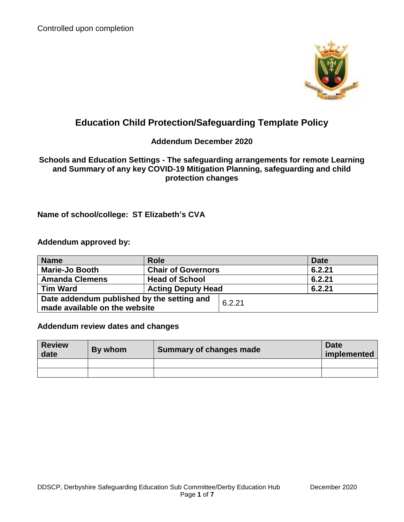

# **Education Child Protection/Safeguarding Template Policy**

### **Addendum December 2020**

### **Schools and Education Settings - The safeguarding arrangements for remote Learning and Summary of any key COVID-19 Mitigation Planning, safeguarding and child protection changes**

## **Name of school/college: ST Elizabeth's CVA**

**Addendum approved by:**

| <b>Name</b>                                                                 | <b>Role</b>               |        | <b>Date</b> |
|-----------------------------------------------------------------------------|---------------------------|--------|-------------|
| <b>Marie-Jo Booth</b>                                                       | <b>Chair of Governors</b> |        | 6.2.21      |
| <b>Amanda Clemens</b>                                                       | <b>Head of School</b>     |        | 6.2.21      |
| <b>Tim Ward</b>                                                             | <b>Acting Deputy Head</b> |        | 6.2.21      |
| Date addendum published by the setting and<br>made available on the website |                           | 6.2.21 |             |

### **Addendum review dates and changes**

| <b>Review</b><br>date | By whom | Summary of changes made | <b>Date</b><br>implemented |
|-----------------------|---------|-------------------------|----------------------------|
|                       |         |                         |                            |
|                       |         |                         |                            |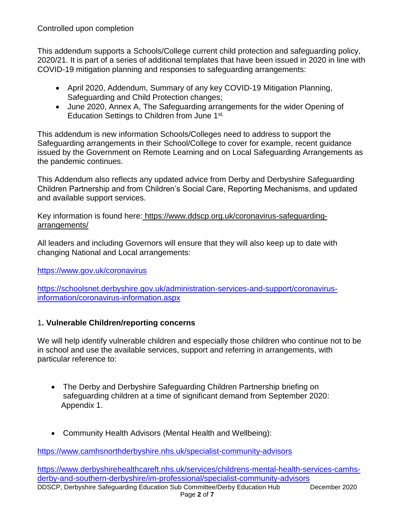This addendum supports a Schools/College current child protection and safeguarding policy, 2020/21. It is part of a series of additional templates that have been issued in 2020 in line with COVID-19 mitigation planning and responses to safeguarding arrangements:

- April 2020, Addendum, Summary of any key COVID-19 Mitigation Planning, Safeguarding and Child Protection changes;
- June 2020, Annex A, The Safeguarding arrangements for the wider Opening of Education Settings to Children from June 1st.

This addendum is new information Schools/Colleges need to address to support the Safeguarding arrangements in their School/College to cover for example, recent guidance issued by the Government on Remote Learning and on Local Safeguarding Arrangements as the pandemic continues.

This Addendum also reflects any updated advice from Derby and Derbyshire Safeguarding Children Partnership and from Children's Social Care, Reporting Mechanisms, and updated and available support services.

Key information is found here: [https://www.ddscp.org.uk/coronavirus-safeguarding](https://www.ddscp.org.uk/coronavirus-safeguarding-arrangements/)[arrangements/](https://www.ddscp.org.uk/coronavirus-safeguarding-arrangements/)

All leaders and including Governors will ensure that they will also keep up to date with changing National and Local arrangements:

<https://www.gov.uk/coronavirus>

[https://schoolsnet.derbyshire.gov.uk/administration-services-and-support/coronavirus](https://schoolsnet.derbyshire.gov.uk/administration-services-and-support/coronavirus-information/coronavirus-information.aspx)[information/coronavirus-information.aspx](https://schoolsnet.derbyshire.gov.uk/administration-services-and-support/coronavirus-information/coronavirus-information.aspx)

### 1**. Vulnerable Children/reporting concerns**

We will help identify vulnerable children and especially those children who continue not to be in school and use the available services, support and referring in arrangements, with particular reference to:

- The Derby and Derbyshire Safeguarding Children Partnership briefing on safeguarding children at a time of significant demand from September 2020: Appendix 1.
- Community Health Advisors (Mental Health and Wellbeing):

<https://www.camhsnorthderbyshire.nhs.uk/specialist-community-advisors>

DDSCP, Derbyshire Safeguarding Education Sub Committee/Derby Education Hub December 2020 Page **2** of **7** [https://www.derbyshirehealthcareft.nhs.uk/services/childrens-mental-health-services-camhs](https://www.derbyshirehealthcareft.nhs.uk/services/childrens-mental-health-services-camhs-derby-and-southern-derbyshire/im-professional/specialist-community-advisors)[derby-and-southern-derbyshire/im-professional/specialist-community-advisors](https://www.derbyshirehealthcareft.nhs.uk/services/childrens-mental-health-services-camhs-derby-and-southern-derbyshire/im-professional/specialist-community-advisors)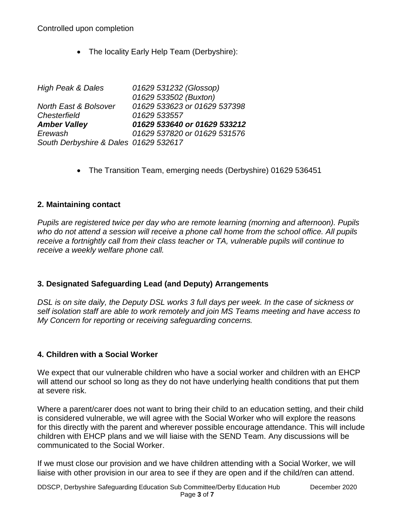• The locality Early Help Team (Derbyshire):

| <b>High Peak &amp; Dales</b>          | 01629 531232 (Glossop)       |
|---------------------------------------|------------------------------|
|                                       | 01629 533502 (Buxton)        |
| North East & Bolsover                 | 01629 533623 or 01629 537398 |
| Chesterfield                          | 01629 533557                 |
| <b>Amber Valley</b>                   | 01629 533640 or 01629 533212 |
| Erewash                               | 01629 537820 or 01629 531576 |
| South Derbyshire & Dales 01629 532617 |                              |

• The Transition Team, emerging needs (Derbyshire) 01629 536451

### **2. Maintaining contact**

*Pupils are registered twice per day who are remote learning (morning and afternoon). Pupils who do not attend a session will receive a phone call home from the school office. All pupils receive a fortnightly call from their class teacher or TA, vulnerable pupils will continue to receive a weekly welfare phone call.*

### **3. Designated Safeguarding Lead (and Deputy) Arrangements**

*DSL is on site daily, the Deputy DSL works 3 full days per week. In the case of sickness or self isolation staff are able to work remotely and join MS Teams meeting and have access to My Concern for reporting or receiving safeguarding concerns.*

### **4. Children with a Social Worker**

We expect that our vulnerable children who have a social worker and children with an EHCP will attend our school so long as they do not have underlying health conditions that put them at severe risk.

Where a parent/carer does not want to bring their child to an education setting, and their child is considered vulnerable, we will agree with the Social Worker who will explore the reasons for this directly with the parent and wherever possible encourage attendance. This will include children with EHCP plans and we will liaise with the SEND Team. Any discussions will be communicated to the Social Worker.

If we must close our provision and we have children attending with a Social Worker, we will liaise with other provision in our area to see if they are open and if the child/ren can attend.

DDSCP, Derbyshire Safeguarding Education Sub Committee/Derby Education Hub December 2020 Page **3** of **7**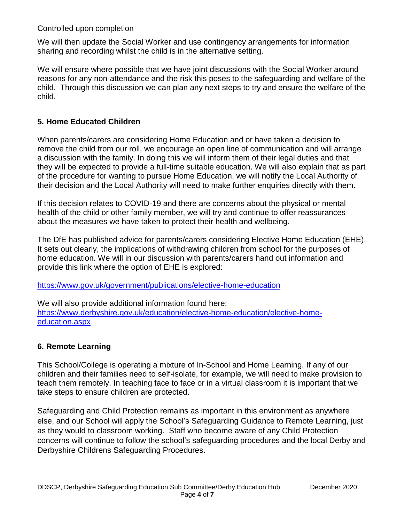We will then update the Social Worker and use contingency arrangements for information sharing and recording whilst the child is in the alternative setting.

We will ensure where possible that we have joint discussions with the Social Worker around reasons for any non-attendance and the risk this poses to the safeguarding and welfare of the child. Through this discussion we can plan any next steps to try and ensure the welfare of the child.

### **5. Home Educated Children**

When parents/carers are considering Home Education and or have taken a decision to remove the child from our roll, we encourage an open line of communication and will arrange a discussion with the family. In doing this we will inform them of their legal duties and that they will be expected to provide a full-time suitable education. We will also explain that as part of the procedure for wanting to pursue Home Education, we will notify the Local Authority of their decision and the Local Authority will need to make further enquiries directly with them.

If this decision relates to COVID-19 and there are concerns about the physical or mental health of the child or other family member, we will try and continue to offer reassurances about the measures we have taken to protect their health and wellbeing.

The DfE has published advice for parents/carers considering Elective Home Education (EHE). It sets out clearly, the implications of withdrawing children from school for the purposes of home education. We will in our discussion with parents/carers hand out information and provide this link where the option of EHE is explored:

<https://www.gov.uk/government/publications/elective-home-education>

We will also provide additional information found here: [https://www.derbyshire.gov.uk/education/elective-home-education/elective-home](https://www.derbyshire.gov.uk/education/elective-home-education/elective-home-education.aspx)[education.aspx](https://www.derbyshire.gov.uk/education/elective-home-education/elective-home-education.aspx)

### **6. Remote Learning**

This School/College is operating a mixture of In-School and Home Learning. If any of our children and their families need to self-isolate, for example, we will need to make provision to teach them remotely. In teaching face to face or in a virtual classroom it is important that we take steps to ensure children are protected.

Safeguarding and Child Protection remains as important in this environment as anywhere else, and our School will apply the School's Safeguarding Guidance to Remote Learning, just as they would to classroom working. Staff who become aware of any Child Protection concerns will continue to follow the school's safeguarding procedures and the local Derby and Derbyshire Childrens Safeguarding Procedures.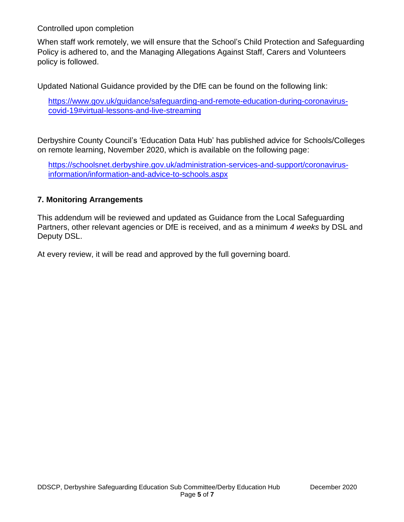When staff work remotely, we will ensure that the School's Child Protection and Safeguarding Policy is adhered to, and the Managing Allegations Against Staff, Carers and Volunteers policy is followed.

Updated National Guidance provided by the DfE can be found on the following link:

[https://www.gov.uk/guidance/safeguarding-and-remote-education-during-coronavirus](https://www.gov.uk/guidance/safeguarding-and-remote-education-during-coronavirus-covid-19#virtual-lessons-and-live-streaming)[covid-19#virtual-lessons-and-live-streaming](https://www.gov.uk/guidance/safeguarding-and-remote-education-during-coronavirus-covid-19#virtual-lessons-and-live-streaming)

Derbyshire County Council's 'Education Data Hub' has published advice for Schools/Colleges on remote learning, November 2020, which is available on the following page:

[https://schoolsnet.derbyshire.gov.uk/administration-services-and-support/coronavirus](https://schoolsnet.derbyshire.gov.uk/administration-services-and-support/coronavirus-information/information-and-advice-to-schools.aspx)[information/information-and-advice-to-schools.aspx](https://schoolsnet.derbyshire.gov.uk/administration-services-and-support/coronavirus-information/information-and-advice-to-schools.aspx)

### **7. Monitoring Arrangements**

This addendum will be reviewed and updated as Guidance from the Local Safeguarding Partners, other relevant agencies or DfE is received, and as a minimum *4 weeks* by DSL and Deputy DSL.

At every review, it will be read and approved by the full governing board.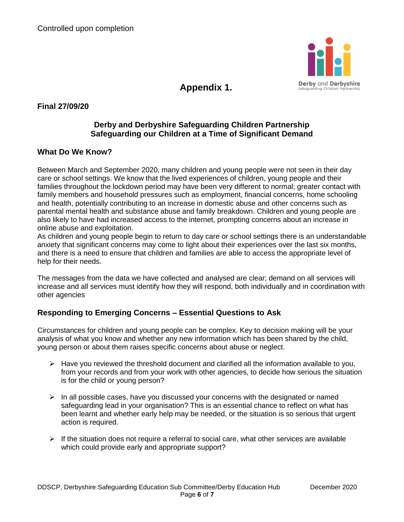

**Appendix 1.**

**Final 27/09/20** 

### **Derby and Derbyshire Safeguarding Children Partnership Safeguarding our Children at a Time of Significant Demand**

### **What Do We Know?**

Between March and September 2020, many children and young people were not seen in their day care or school settings. We know that the lived experiences of children, young people and their families throughout the lockdown period may have been very different to normal; greater contact with family members and household pressures such as employment, financial concerns, home schooling and health, potentially contributing to an increase in domestic abuse and other concerns such as parental mental health and substance abuse and family breakdown. Children and young people are also likely to have had increased access to the internet, prompting concerns about an increase in online abuse and exploitation.

As children and young people begin to return to day care or school settings there is an understandable anxiety that significant concerns may come to light about their experiences over the last six months, and there is a need to ensure that children and families are able to access the appropriate level of help for their needs.

The messages from the data we have collected and analysed are clear; demand on all services will increase and all services must identify how they will respond, both individually and in coordination with other agencies

### **Responding to Emerging Concerns – Essential Questions to Ask**

Circumstances for children and young people can be complex. Key to decision making will be your analysis of what you know and whether any new information which has been shared by the child, young person or about them raises specific concerns about abuse or neglect.

- $\triangleright$  Have you reviewed the threshold document and clarified all the information available to you, from your records and from your work with other agencies, to decide how serious the situation is for the child or young person?
- $\triangleright$  In all possible cases, have you discussed your concerns with the designated or named safeguarding lead in your organisation? This is an essential chance to reflect on what has been learnt and whether early help may be needed, or the situation is so serious that urgent action is required.
- $\triangleright$  If the situation does not require a referral to social care, what other services are available which could provide early and appropriate support?